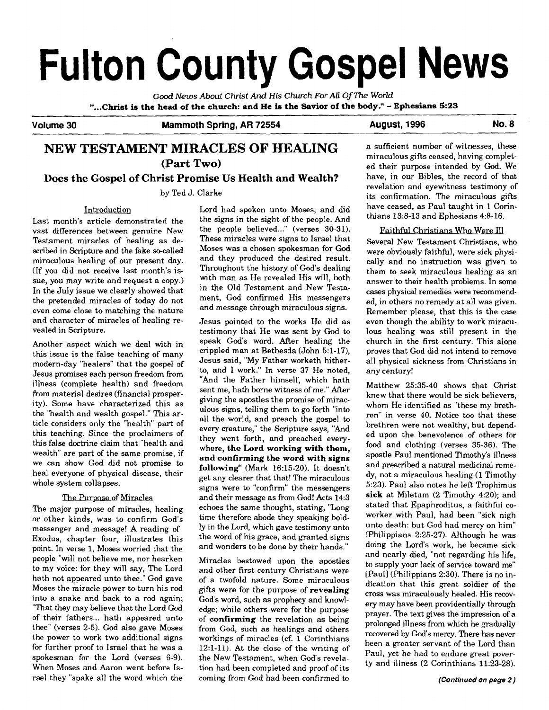# **Fulton County Gospel News**

**Good** *News* **About Christ** *And* **His** *Church* **For** *All* **Of** *The* **World "...Christ is the head of the church: and He is the Savior of the body!'** - **Ephesians 5:23** 

Volume 30 **Mammoth Spring, AR 72554** August, 1996 No. 8

# **NEW TESTAMENT MIRACLES OF HEALING (Part Two)**

## **Does the Gospel of Christ Promise Us Health and Wealth?**

by Ted J. Clarke

#### Introduction

Last month's article demonstrated the vast differences between genuine New Testament miracles of healing as described in Scripture and the fake so-called miraculous healing of our present day. (If you did not receive last month's issue, you may write and request a copy.) In the July issue we clearly showed that the pretended miracles of today do not even come close to matching the nature and character of miracles of healing revealed in Scripture.

Another aspect which we deal with in this issue is the false teaching of many modern-day "healers" that the gospel of Jesus promises each person freedom from illness (complete health) and freedom from material desires (financial prosperity). Some have characterized this as the "health and wealth gospel." This article considers only the "health" part of this teaching. Since the proclaimers of this false doctrine claim that "health and wealth" are part of the same promise, if we can show God did not promise to heal everyone of physical disease, their whole system collapses.

#### The Purpose of Miracles

The major purpose of miracles, healing or other kinds, was to confirm God's messenger and message! A reading of Exodus, chapter four, illustrates this point. In verse 1, Moses worried that the people "will not believe me, nor hearken to my voice: for they will say, The Lord hath not appeared unto thee." God gave Moses the miracle power to turn his rod into a snake and back to a rod again; "That they may believe that the Lord Cod of their fathers... hath appeared unto thee" (verses 2-5). God also gave Moses the power to work two additional signs for further proof to Israel that he was a spokesman for the Lord (verses 6-9). When Moses and Aaron went before Israel they "spake all the word which the

Lord had spoken unto Moses, and did the signs in the sight of the people. And the people believed..." (verses 30-31). These miracles were signs to Israel that Moses was a chosen spokesman for God and they produced the desired result. Throughout the history of God's dealing with man as He revealed His will, both in the Old Testament and New Testament, God confirmed His messengers and message through miraculous signs.

Jesus pointed to the works He did as testimony that He was sent by God to speak God's word. After healing the crippled man at Bethesda (John 5:1-17), Jesus said, "My Father worketh hitherto, and 1 work." In verse 37 He noted, "And the Father himself, which hath sent me, hath borne witness of me." After giving the apostles the promise of miraculous signs, telling them to go forth "into all the world, and preach the gospel to every creature," the Scripture says, "And they went forth, and preached everywhere, **the Lord working with them, and confirming the word with signs following'** (Mark 16:15-20). **It** doesn't get any clearer that that! The miraculous signs were to "confirm" the messengers and their message as from God! **Acts** 14:3 echoes the same thought, stating, "Long time therefore abode they speaking boldly in the Lord, which gave testimony unto the word of his grace, and granted signs and wonders to be done by their hands."

Miracles bestowed upon the apostles and other first century Christians were of a twofold nature. Some miraculous gifts were for the purpose of **revealing**  God's word, such as prophecy and knowledge; while others were for the purpose of **confirming** the revelation as being from God, such as healings and others workings of miracles (cf. 1 Corinthians 12:l-11). At the close of the writing of the New Testament, when God's revelation had been completed and proof of its coming from God had been confirmed to

a sufficient number of witnesses, these miraculous gifts ceased, having completed their purpose intended by God. We have, in our Bibles, the record of that revelation and eyewitness testimony of its confirmation. The miraculous gifts have ceased, as Paul taught in 1 Corinthians 13:8-13 and Ephesians 4:8-16.

Several New Testament Christians, who were obviously faithful, were sick physically and no instruction was given to them to seek miraculous healing as an answer to their health problems. In some cases physical remedies were recommended, in others no remedy at all was given. Remember please, that this is the case even though the ability to work miraculous healing was still present in the church in the first century. This alone proves that God did not intend to remove all physical sickness from Christians in any century!

Matthew 25:35-40 shows that Christ knew that there would be sick believers, whom He identified as "these my brethren" in verse 40. Notice too that these brethren were not wealthy, but depended upon the benevolence of others for food and clothing (verses 35-36). The apostle Paul mentioned Timothy's illness and prescribed a natural medicinal remedy, not a miraculous healing (1 Timothy 5:23). Paul also notes he left Trophimus **sick** at Miletum (2 Timothy 4:20); and stated that Epaphroditus, a faithful coworker with Paul, had been "sick nigh unto death: but God had mercy on him" (Philippians 2:25-27). Although he was doing the Lord's work, he became sick and nearly died, "not regarding his life, to supply your lack of service toward me" [Paul] (Philippians 2:30). There is no indication that this great soldier of the cross was miraculously healed. His recovery may have been providentially through prayer. The text gives the impression of a prolonged illness from which he gradually recovered by God's mercy. There has never been a greater servant of the Lord than Paul, yet he had to endure great poverty and illness (2 Corinthians 11:23-28).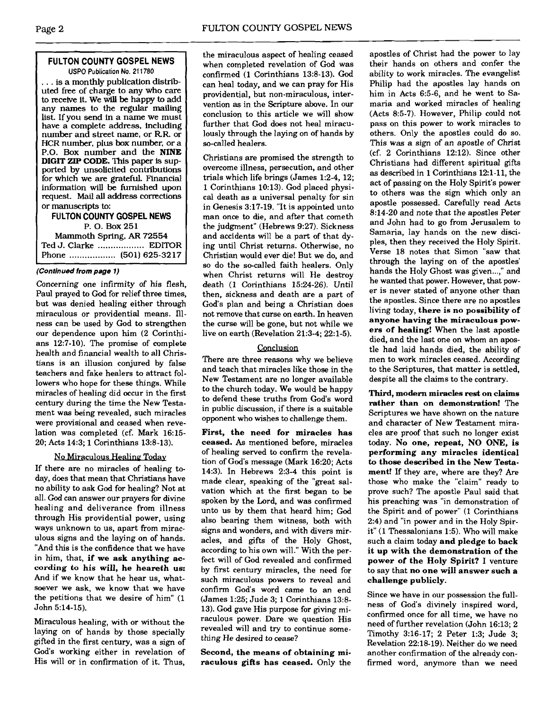#### **FllLTON COUNTY GOSPEL NEWS USPO Publication No. 21 1780**

. . . is a monthly publication distributed free of charge to any who care to receive it. We **will** be happy to add any names to the regular mailing list. If you send in a name we must have a complete address, including number and street name, or RR. or HCR number, plus box number, or a P.O. Box number and the **NINE DIGIT ZIP CODE.** This paper is supported by unsolicited contributions for which we are grateful. Financial information will be furnished upon request. Mail **all** address corrections or manuscripts **to:** 

## **FllLTON COUNTY GOSPEL NEWS**  P. 0. Box 251

Mammoth Spring. **AR** 72554 Ted J. Clarke .................. EDITOR Phone ..... . . ........... (501) 625-32 17

#### **(Continued from page 1)**

Concerning one infirmity of his flesh, Paul prayed to God for relief three times, but was denied healing either through miraculous or providential means. Illness can be used by God to strengthen our dependence upon him (2 Corinthians 12:7-10). The promise of complete health and financial wealth to all Christians is an illusion conjured by false teachers and fake healers to attract followers who hope for these things. While miracles of healing did occur in the first century during the time the New Testament was being revealed, such miracles were provisional and ceased when revelation was completed (cf. Mark 16:15- 20; Acts 14:3; 1 Corinthians 13:s-13).

#### No Miraculous Healing Today

If there are no miracles of healing today, does that mean that Christians have no ability to ask God for healing? Not at all. God can answer our prayers for divine healing and deliverance from illness through His providential power, using ways unknown to us, apart from miraculous signs and the laying on of hands. "And this is the confidence that we have in him, that, **if we ask anything according to his will, he heareth us:**  And if we know that he hear us, whatsoever we ask, we know that we have the petitions that we desire of him" (1 John 5:14-15).

Miraculous healing, with or without the laying on of hands by those specially gifted in the first century, was a sign of God's working either in revelation of His will or in confirmation of it. Thus,

the miraculous aspect of healing ceased when completed revelation of God was confirmed (1 Corinthians 13:8-13). God can heal today, and we can pray for His providential, but non-miraculous, intervention **as** in the Scripture above. In our conclusion to this article we will show further that God does not heal miraculously through the laying on of hands by so-called healers.

Christians are promised the strength to overcome illness, persecution, and other trials which life brings (James 1:2-4, 12; 1 Corinthians 10:13). God placed physical death as a universal penalty for sin in Genesis 3:17-19. "It is appointed unto man once to die, and after that cometh the judgment" (Hebrews 9:27). Sickness and accidents will be a part of that dying until Christ returns. Otherwise, no Christian would ever die! But we do, and so do the so-called faith healers. Only when Christ returns will He destroy death (1 Corinthians 1524-26). Until then, sickness and death are a part of God's plan and being a Christian does not remove that curse on earth. In heaven the curse will be gone, but not while we live on earth (Revelation 21:3-4; 22:l-5).

#### Conclusion

There are three reasons why we believe and teach that miracles like those in the New Testament are no longer available to the church today. We would be happy to defend these truths from God's word in public discussion, if there is a suitable opponent who wishes to challenge them.

**First, the need for miracles has ceased. As** mentioned before, miracles of healing served to confirm the revelation of God's message (Mark 16:20; Acts 14:3). In Hebrews 2:3-4 this point is made clear, speaking of the "great salvation which at the first began to be spoken by the Lord, and was confirmed unto us by them that heard him; God also bearing them witness, both with signs and wonders, and with divers miracles, and gifts of the Holy Ghost, according to his own will." With the perfect will of God revealed and confirmed by first century miracles, the need for such miraculous powers to reveal and confirm God's word came to an end (James 1:25; Jude 3; 1 Corinthians 13:s-13). God gave His purpose for giving miraculous power. Dare we question His revealed will and try to continue something He desired to cease?

**Second, the means of obtaining miraculous gifts has ceased.** Only the

apostles of Christ had the power to lay their hands on others and confer the ability to work miracles. The evangelist Philip had the apostles lay hands on him in Acts 6:5-6, and he went to Samaria and worked miracles of healing  $(Acts 8:5-7)$ . However, Philip could not pass on this power to work miracles to others. Only the apostles could do so. This was a sign of an apostle of Christ (cf. 2 Corinthians 12:12). Since other Christians had different spiritual gifts **as** described in 1 Corinthians 121-11, the act of passing on the Holy Spirit's power to others was the sign which only an apostle possessed. Carefully read Acts 8:14-20 and note that the apostles Peter and John had to go from Jerusalem to Samaria, lay hands on the new disciples, then they received the Holy Spirit. Verse 18 notes that Simon "saw that through the laying on of the apostles' hands the Holy Ghost was given...," and he wanted that power. However, that power is never stated of anyone other than the apostles. Since there are no apostles living today, **there is no possibility of anyone having the miraculous powers of healing!** When the last apostle died, and the last one on whom an apostle had laid hands died, the ability of men to work miracles ceased. According to the Scriptures, that matter is settled, despite all the claims to the contrary.

**Third, modern miracles rest on claims rather than on demonstration!** The Scriptures we have shown on the nature and character of New Testament miracles are proof that such no longer exist today. **No one, repeat, NO ONE, is performing any miracles identical to those described in the New Testament!** If they are, where are they? Are those who make the "claim" ready to prove such? The apostle Paul said that his preaching was "in demonstration of the Spirit and of power" (1 Corinthians 2:4) and "in power and in the Holy Spirit" (1 Thessalonians 1:5). Who will make such a claim today **and pledge to back it up with the demonstration of the poker of the Holy Spirit?** I venture to say that **no one will answer such a challenge publicly.** 

Since we have in our possession the fullness of God's divinely inspired word, confirmed once for all time, we have no need of further revelation (John 16:13; 2 Timothy 3:16-17; 2 Peter 1:3; Jude 3; Revelation 22:18-19). Neither do we need another confirmation of the already confirmed word, anymore than we need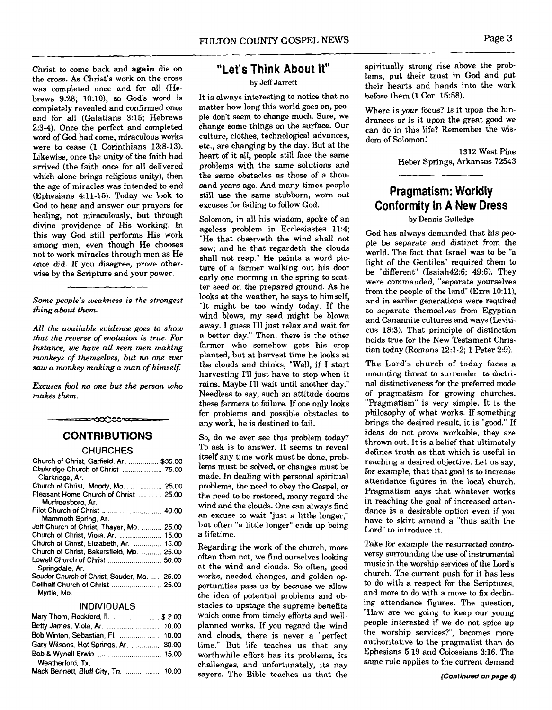Christ to come back and again die on the cross. As Christ's work on the cross was completed once and for all (Hebrews 9:28; 10:10), so **God's** word is completely revealed and confirmed once and for all (Galatians 3:15; Hebrews 2:3-4). Once the perfect and completed word of **God** had come, miraculous works were to cease (1 Corinthians 13:8-13). Likewise, once the unity of the faith had arrived (the faith once for all delivered which alone brings religious unity), then the age of miracles was intended to end (Ephesians 411-15). Today we look to God to hear and answer our prayers for healing, not miraculously, but through divine providence of His working. In this way God still performs His work among men, even though He chooses not to work miracles through men as He once did. If you disagree, prove otherwise by the Scripture and your power.

#### *Some people's weakness* is *the strongest thing about them.*

*All the available evidence goes to show that the reverse of evolution is true. For instance, we have all seen men making monkeys of themselves, but* no *one ever saw a monkey making a man of himself:* 

*Excuses fool no one but the person who makes them.* 

# ≈∽ಯ∆೦೦ಌ **CONTRIBUTIONS**

#### **CHURCHES**

| Church of Christ, Garfield, Ar.  \$35.00<br>Clarkridge Church of Christ  75.00<br>Clarkridge, Ar. |
|---------------------------------------------------------------------------------------------------|
| Church of Christ, Moody, Mo 25.00                                                                 |
| Pleasant Home Church of Christ  25.00<br>Murfreesboro, Ar.                                        |
| Pilot Church of Christ  40.00                                                                     |
| Mammoth Spring, Ar.                                                                               |
| Jeff Church of Christ, Thayer, Mo.  25.00                                                         |
|                                                                                                   |
| Church of Christ, Elizabeth, Ar.  15.00                                                           |
| Church of Christ, Bakersfield, Mo.  25.00                                                         |
| Lowell Church of Christ  50.00<br>Springdale, Ar.                                                 |
| Souder Church of Christ, Souder, Mo.  25.00                                                       |
| Dellhalf Church of Christ  25.00<br>Myrtle, Mo.                                                   |

#### INDIVIDUALS

| Mary Thom, Rockford, II.  \$ 2.00     |  |
|---------------------------------------|--|
|                                       |  |
|                                       |  |
| Gary Wilsons, Hot Springs, Ar.  30.00 |  |
|                                       |  |
| Weatherford, Tx.                      |  |
| Mack Bennett, Bluff City, Tn.  10.00  |  |

# **"Let's Think About It"**

#### by Jeff Jarrett

It is always interesting to notice that no matter how long this world goes on, people don't seem to change much. Sure, we change some things on the surface. Our culture, clothes, technological advances, etc., are changing by the day. But at the heart of it all, people still face the same problems with the same solutions and the same obstacles as those of a thousand years ago. And many times people still use the same stubborn, worn out excuses for failing to follow God.

Solomon, in all his wisdom, spoke of an ageless problem in Ecclesiastes 11:4; "He that observeth the wind shall not sow; and he that regardeth the clouds shall not reap." He paints a word picture of a farmer walking out his door early one morning in the spring to scatter seed on the prepared ground. As he looks at the weather, he says to himself, "It might be too windy today. If the wind blows, my seed might be blown away. I guess I'll just relax and wait for a better day." Then, there is the other farmer who somehow gets his crop planted, but at harvest time he looks at the clouds and thinks, "Well, if I start harvesting I'll just have to stop when it rains. Maybe I'll wait until another day." Needless to say, such an attitude dooms these farmers to failure. If one only looks for problems and possible obstacles to any work, he is destined to fail.

So, do we ever see this problem today? To ask is to answer. It seems to reveal itself any time work must be done, problems must be solved, or changes must be made. In dealing with personal spiritual problems, the need to obey the Gospel, or the need to be restored, many regard the wind and the clouds. One can always find an excuse to wait "just a little longer," but often "a little longer" ends up being a lifetime.

Regarding the work of the church, more often than not, we find ourselves looking at the wind and clouds. So often, good works, needed changes, and golden opportunities pass us by because we allow the idea of potential problems and obstacles to upstage the supreme benefits which come from timely efforts and wellplanned works. If you regard the wind and clouds, there is never a "perfect time." But life teaches us that any worthwhile effort has its problems, its challenges, and unfortunately, its nay sayers. The Bible teaches us that the

spiritually strong rise above the problems, put their trust in God and put their hearts and hands into the work before them  $(1~Cor.~15:58)$ .

Where is *your* focus? Is it upon the hindrances or is it upon the great good we can do in this life? Remember the wisdom of Solomon!

> 1312 West Pine Heber Springs, Arkansas 72543

# **Pragmatism: Worldly Conformity In A New Dress**

#### by Dennis Gulledge

God has always demanded that his people be separate and distinct from the world. The fact that Israel was to be "a light of the Gentiles" required them to be "different" (Isaiah42:6; 49:6). They were commanded, "separate yourselves from the people of the land" (Ezra 10:11), and in earlier generations were required to separate themselves from Egyptian and Canannite cultures and ways (Leviticus 18:3). That principle of distinction holds true for the New Testament Christian today (Romans 12:l-2; 1 Peter 2:9).

The Lord's church of today faces a mounting threat to surrender its doctrinal distinctiveness for the preferred mode of pragmatism for growing churches. "Pragmatism" is very simple. It is the philosophy of what works. If something brings the desired result, it is "good." If ideas do not prove workable, they are thrown out. It is a belief that ultimately defines truth as that which is useful in reaching a desired objective. Let us say, for example, that that goal is to increase attendance figures in the local church. Pragmatism says that whatever works in reaching the goal of increased attendance is a desirable option even if you have to skirt around a "thus saith the Lord" to introduce it.

Take for example the resurrected controversy surrounding the use of instrumental music in the worship services of the Lord's church. The current push for it has less to do with a respect for the Scriptures, and more to do with a move to fix declining attendance figures. The question, "How are we going to keep our young people interested if we do not spice up the worship services?', becomes more authoritative to the pragmatist than do Ephesians 5:19 and Colossians 3:16. The same rule applies to the current demand